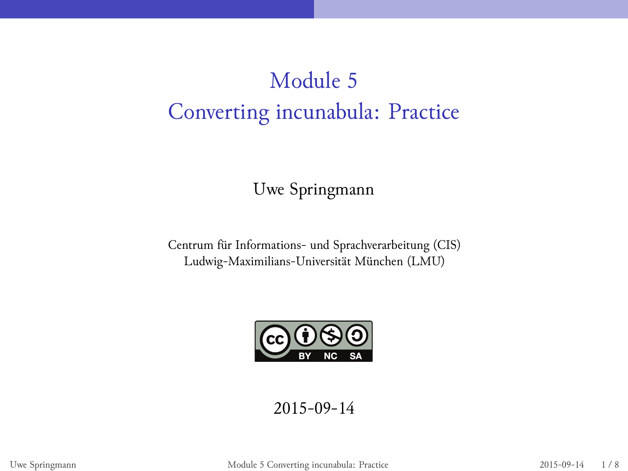# Module 5 Converting incunabula: Practice

Uwe Springmann

Centrum für Informations- und Sprachverarbeitung (CIS) Ludwig-Maximilians-Universität München (LMU)



2015-09-14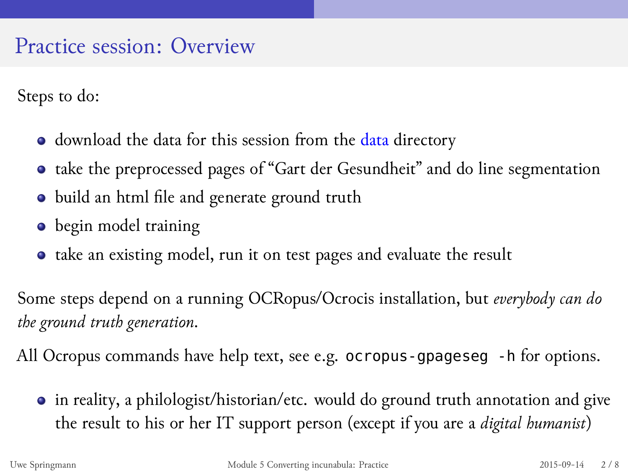#### Practice session: Overview

Steps to do:

- $\bullet$  download the data for this session from the data directory
- take the preprocessed pages of "Gart der Gesundheit" and do line segmentation
- $\bullet$  build an html file and generate ground truth
- begin model training
- take an existing model, run it on test pages and evaluate the result

Some steps depend on a running OCRopus/Ocrocis installation, but *everybody can do the ground truth generation*.

All Ocropus commands have help text, see e.g. ocropus-gpageseg -h for options.

in reality, a philologist/historian/etc. would do ground truth annotation and give the result to his or her IT support person (except if you are a *digital humanist*)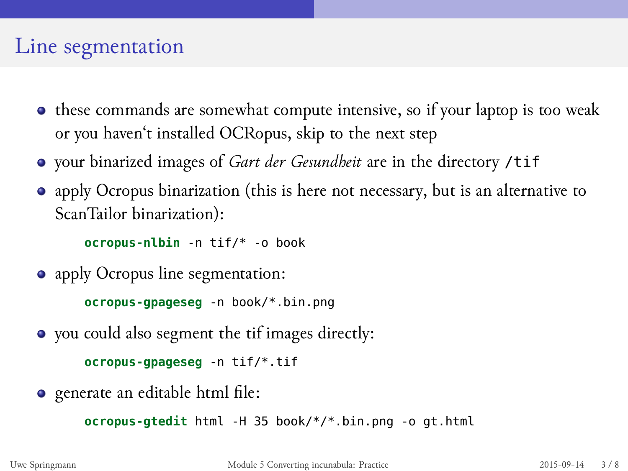### Line segmentation

- these commands are somewhat compute intensive, so if your laptop is too weak or you haven't installed OCRopus, skip to the next step
- your binarized images of *Gart der Gesundheit* are in the directory /tif
- apply Ocropus binarization (this is here not necessary, but is an alternative to ScanTailor binarization):

**ocropus-nlbin** -n tif/\* -o book

apply Ocropus line segmentation:

```
ocropus-gpageseg -n book/*.bin.png
```
you could also segment the tif images directly:

**ocropus-gpageseg** -n tif/\*.tif

generate an editable html file:

**ocropus-gtedit** html -H 35 book/\*/\*.bin.png -o gt.html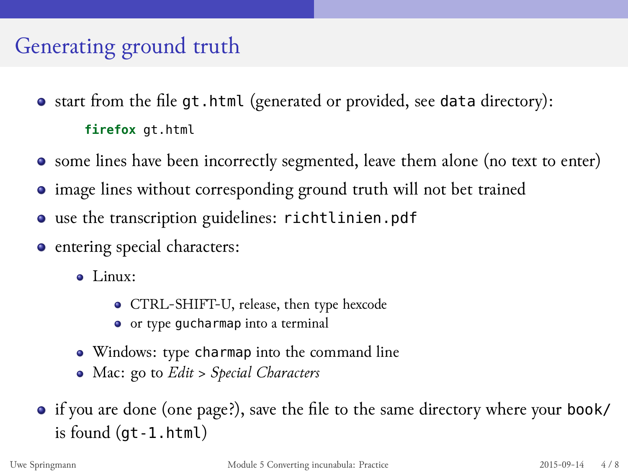## Generating ground truth

- start from the file gt.html (generated or provided, see data directory): **firefox** gt.html
- some lines have been incorrectly segmented, leave them alone (no text to enter)
- image lines without corresponding ground truth will not bet trained
- use the transcription guidelines: richtlinien.pdf
- entering special characters:
	- Linux:
		- CTRL-SHIFT-U, release, then type hexcode
		- or type gucharmap into a terminal
	- Windows: type charmap into the command line
	- Mac: go to *Edit > Special Characters*
- if you are done (one page?), save the file to the same directory where your book/ is found (gt-1.html)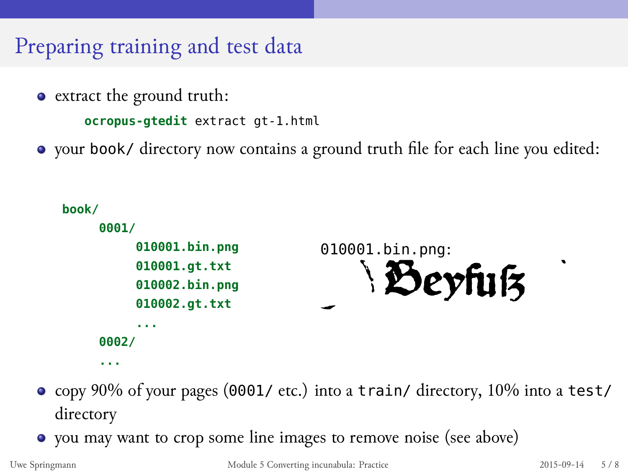## Preparing training and test data

extract the ground truth:

**ocropus-gtedit** extract gt-1.html

your book/ directory now contains a ground truth file for each line you edited:



- copy 90% of your pages (0001/ etc.) into a train/ directory, 10% into a test/ directory
- you may want to crop some line images to remove noise (see above)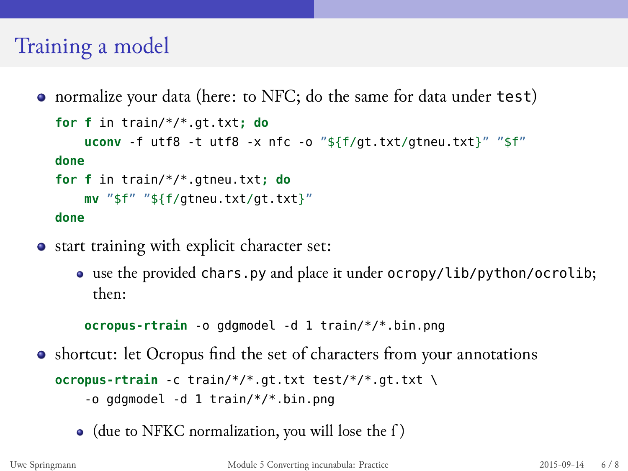### Training a model

normalize your data (here: to NFC; do the same for data under test)

```
for f in train/*/*.gt.txt; do
   uconv -f utf8 -t utf8 -x nfc -o "${f/gt.txt/gtneu.txt}" "$f"
done
for f in train/*/*.gtneu.txt; do
   mv "$f" "${f/gtneu.txt/gt.txt}"
done
```
- start training with explicit character set:
	- use the provided chars.py and place it under ocropy/lib/python/ocrolib; then:
	- **ocropus-rtrain** -o gdgmodel -d 1 train/\*/\*.bin.png
- shortcut: let Ocropus find the set of characters from your annotations
	- **ocropus-rtrain** -c train/\*/\*.gt.txt test/\*/\*.gt.txt \ -o gdgmodel -d 1 train/\*/\*.bin.png
		- (due to NFKC normalization, you will lose the ſ )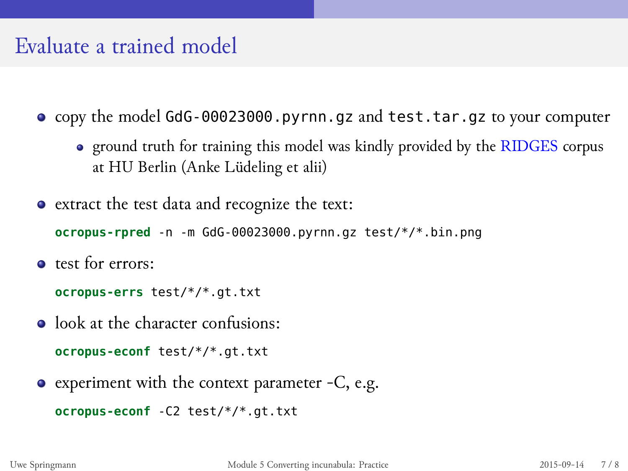### Evaluate a trained model

- copy the model GdG-00023000.pyrnn.gz and test.tar.gz to your computer
	- ground truth for training this model was kindly provided by the RIDGES corpus at HU Berlin (Anke Lüdeling et alii)
- extract the test data and recognize the text:

**ocropus-rpred** -n -m GdG-00023000.pyrnn.gz test/\*/\*.bin.png

• test for errors:

**ocropus-errs** test/\*/\*.gt.txt

- $\bullet$  look at the character confusions:
	- **ocropus-econf** test/\*/\*.gt.txt
- experiment with the context parameter -C, e.g.

**ocropus-econf** -C2 test/\*/\*.gt.txt